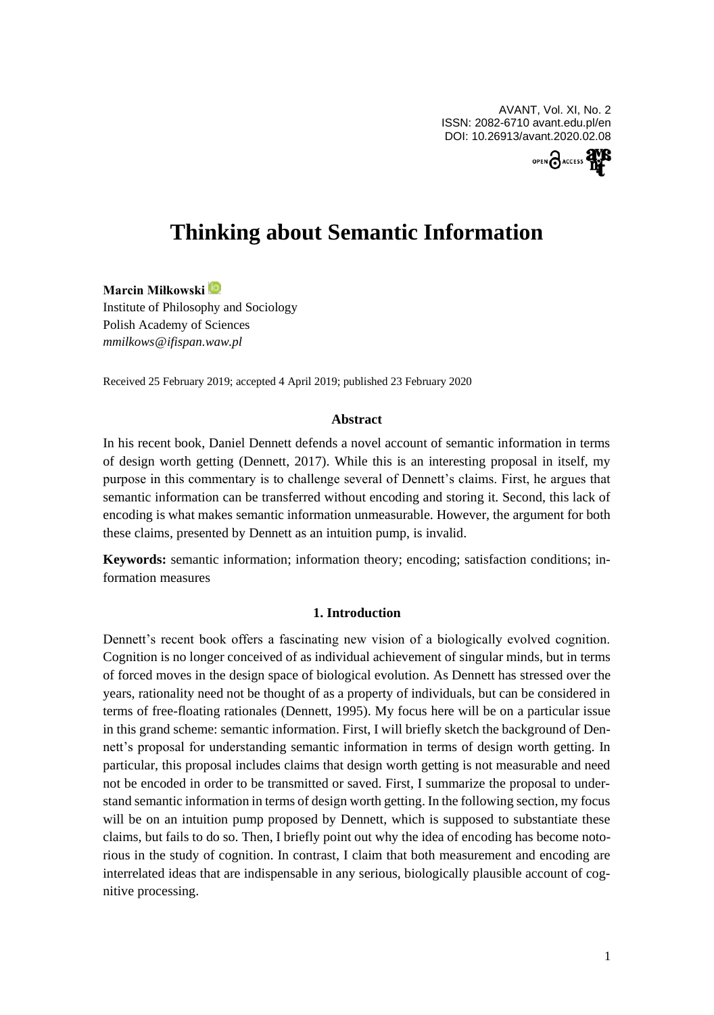AVANT, Vol. XI, No. 2 ISSN: 2082-6710 avant.edu.pl/en DOI: 10.26913/avant.2020.02.08



# **Thinking about Semantic Information**

# **Marcin Miłkowski**

Institute of Philosophy and Sociology Polish Academy of Sciences *mmilkows@ifispan.waw.pl*

Received 25 February 2019; accepted 4 April 2019; published 23 February 2020

## **Abstract**

In his recent book, Daniel Dennett defends a novel account of semantic information in terms of design worth getting (Dennett, 2017). While this is an interesting proposal in itself, my purpose in this commentary is to challenge several of Dennett's claims. First, he argues that semantic information can be transferred without encoding and storing it. Second, this lack of encoding is what makes semantic information unmeasurable. However, the argument for both these claims, presented by Dennett as an intuition pump, is invalid.

**Keywords:** semantic information; information theory; encoding; satisfaction conditions; information measures

## **1. Introduction**

Dennett's recent book offers a fascinating new vision of a biologically evolved cognition. Cognition is no longer conceived of as individual achievement of singular minds, but in terms of forced moves in the design space of biological evolution. As Dennett has stressed over the years, rationality need not be thought of as a property of individuals, but can be considered in terms of free-floating rationales (Dennett, 1995). My focus here will be on a particular issue in this grand scheme: semantic information. First, I will briefly sketch the background of Dennett's proposal for understanding semantic information in terms of design worth getting. In particular, this proposal includes claims that design worth getting is not measurable and need not be encoded in order to be transmitted or saved. First, I summarize the proposal to understand semantic information in terms of design worth getting. In the following section, my focus will be on an intuition pump proposed by Dennett, which is supposed to substantiate these claims, but fails to do so. Then, I briefly point out why the idea of encoding has become notorious in the study of cognition. In contrast, I claim that both measurement and encoding are interrelated ideas that are indispensable in any serious, biologically plausible account of cognitive processing.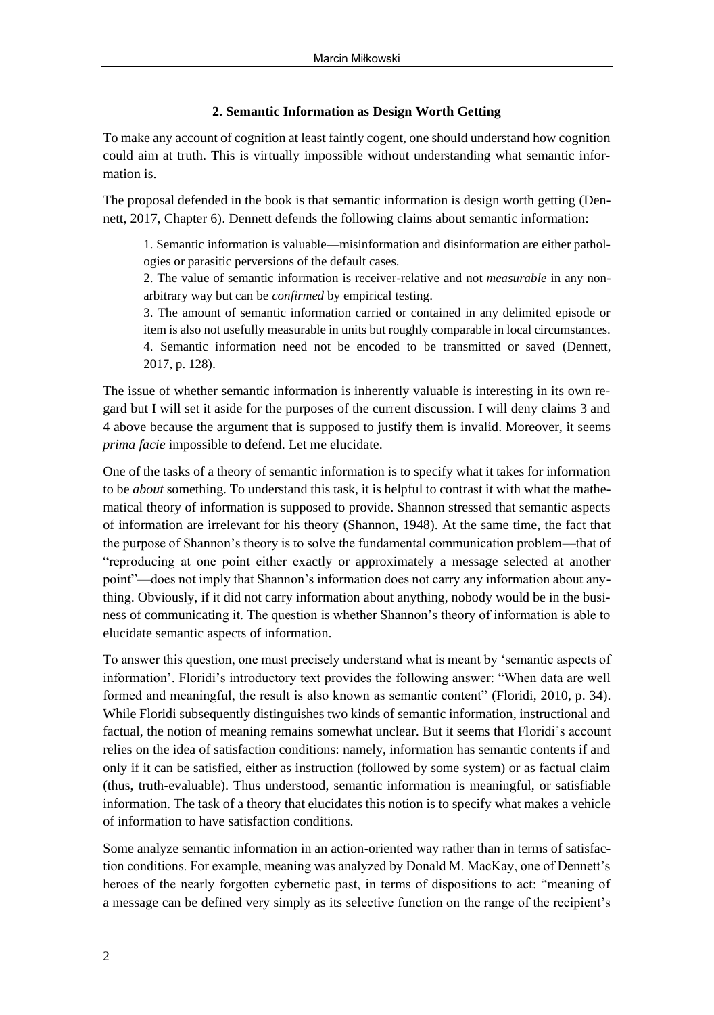# **2. Semantic Information as Design Worth Getting**

To make any account of cognition at least faintly cogent, one should understand how cognition could aim at truth. This is virtually impossible without understanding what semantic information is.

The proposal defended in the book is that semantic information is design worth getting (Dennett, 2017, Chapter 6). Dennett defends the following claims about semantic information:

1. Semantic information is valuable—misinformation and disinformation are either pathologies or parasitic perversions of the default cases.

2. The value of semantic information is receiver-relative and not *measurable* in any nonarbitrary way but can be *confirmed* by empirical testing.

3. The amount of semantic information carried or contained in any delimited episode or item is also not usefully measurable in units but roughly comparable in local circumstances. 4. Semantic information need not be encoded to be transmitted or saved (Dennett, 2017, p. 128).

The issue of whether semantic information is inherently valuable is interesting in its own regard but I will set it aside for the purposes of the current discussion. I will deny claims 3 and 4 above because the argument that is supposed to justify them is invalid. Moreover, it seems *prima facie* impossible to defend. Let me elucidate.

One of the tasks of a theory of semantic information is to specify what it takes for information to be *about* something. To understand this task, it is helpful to contrast it with what the mathematical theory of information is supposed to provide. Shannon stressed that semantic aspects of information are irrelevant for his theory (Shannon, 1948). At the same time, the fact that the purpose of Shannon's theory is to solve the fundamental communication problem—that of "reproducing at one point either exactly or approximately a message selected at another point"—does not imply that Shannon's information does not carry any information about anything. Obviously, if it did not carry information about anything, nobody would be in the business of communicating it. The question is whether Shannon's theory of information is able to elucidate semantic aspects of information.

To answer this question, one must precisely understand what is meant by 'semantic aspects of information'. Floridi's introductory text provides the following answer: "When data are well formed and meaningful, the result is also known as semantic content" (Floridi, 2010, p. 34). While Floridi subsequently distinguishes two kinds of semantic information, instructional and factual, the notion of meaning remains somewhat unclear. But it seems that Floridi's account relies on the idea of satisfaction conditions: namely, information has semantic contents if and only if it can be satisfied, either as instruction (followed by some system) or as factual claim (thus, truth-evaluable). Thus understood, semantic information is meaningful, or satisfiable information. The task of a theory that elucidates this notion is to specify what makes a vehicle of information to have satisfaction conditions.

Some analyze semantic information in an action-oriented way rather than in terms of satisfaction conditions. For example, meaning was analyzed by Donald M. MacKay, one of Dennett's heroes of the nearly forgotten cybernetic past, in terms of dispositions to act: "meaning of a message can be defined very simply as its selective function on the range of the recipient's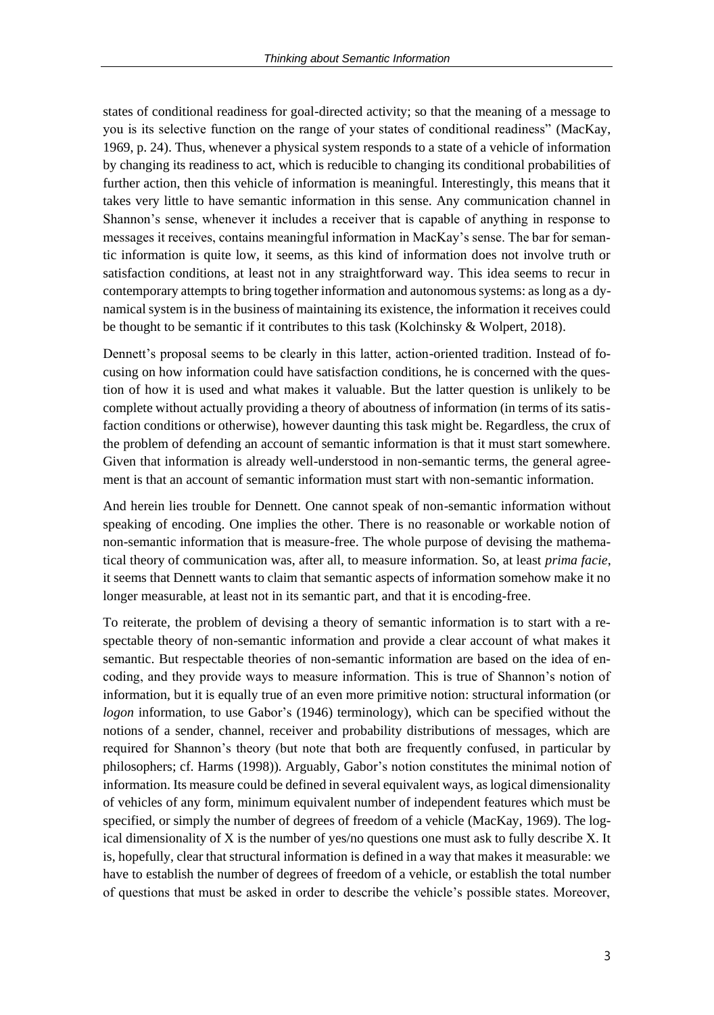states of conditional readiness for goal-directed activity; so that the meaning of a message to you is its selective function on the range of your states of conditional readiness" (MacKay, 1969, p. 24). Thus, whenever a physical system responds to a state of a vehicle of information by changing its readiness to act, which is reducible to changing its conditional probabilities of further action, then this vehicle of information is meaningful. Interestingly, this means that it takes very little to have semantic information in this sense. Any communication channel in Shannon's sense, whenever it includes a receiver that is capable of anything in response to messages it receives, contains meaningful information in MacKay's sense. The bar for semantic information is quite low, it seems, as this kind of information does not involve truth or satisfaction conditions, at least not in any straightforward way. This idea seems to recur in contemporary attempts to bring together information and autonomous systems: as long as a dynamical system is in the business of maintaining its existence, the information it receives could be thought to be semantic if it contributes to this task (Kolchinsky & Wolpert, 2018).

Dennett's proposal seems to be clearly in this latter, action-oriented tradition. Instead of focusing on how information could have satisfaction conditions, he is concerned with the question of how it is used and what makes it valuable. But the latter question is unlikely to be complete without actually providing a theory of aboutness of information (in terms of its satisfaction conditions or otherwise), however daunting this task might be. Regardless, the crux of the problem of defending an account of semantic information is that it must start somewhere. Given that information is already well-understood in non-semantic terms, the general agreement is that an account of semantic information must start with non-semantic information.

And herein lies trouble for Dennett. One cannot speak of non-semantic information without speaking of encoding. One implies the other. There is no reasonable or workable notion of non-semantic information that is measure-free. The whole purpose of devising the mathematical theory of communication was, after all, to measure information. So, at least *prima facie*, it seems that Dennett wants to claim that semantic aspects of information somehow make it no longer measurable, at least not in its semantic part, and that it is encoding-free.

To reiterate, the problem of devising a theory of semantic information is to start with a respectable theory of non-semantic information and provide a clear account of what makes it semantic. But respectable theories of non-semantic information are based on the idea of encoding, and they provide ways to measure information. This is true of Shannon's notion of information, but it is equally true of an even more primitive notion: structural information (or *logon* information, to use Gabor's (1946) terminology), which can be specified without the notions of a sender, channel, receiver and probability distributions of messages, which are required for Shannon's theory (but note that both are frequently confused, in particular by philosophers; cf. Harms (1998)). Arguably, Gabor's notion constitutes the minimal notion of information. Its measure could be defined in several equivalent ways, as logical dimensionality of vehicles of any form, minimum equivalent number of independent features which must be specified, or simply the number of degrees of freedom of a vehicle (MacKay, 1969). The logical dimensionality of X is the number of yes/no questions one must ask to fully describe X. It is, hopefully, clear that structural information is defined in a way that makes it measurable: we have to establish the number of degrees of freedom of a vehicle, or establish the total number of questions that must be asked in order to describe the vehicle's possible states. Moreover,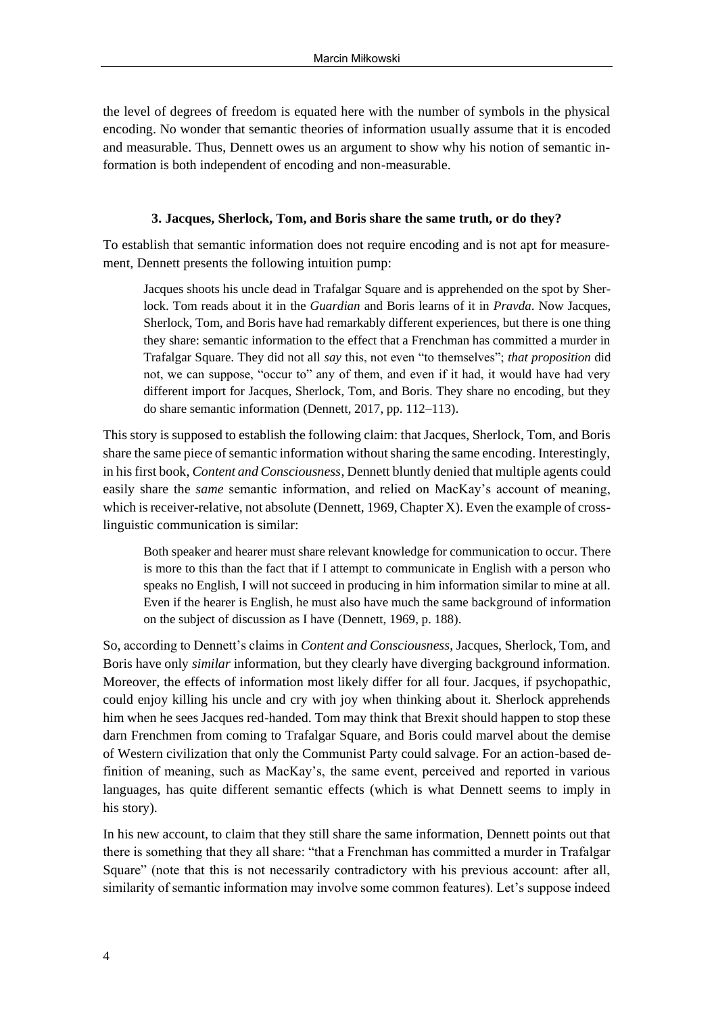the level of degrees of freedom is equated here with the number of symbols in the physical encoding. No wonder that semantic theories of information usually assume that it is encoded and measurable. Thus, Dennett owes us an argument to show why his notion of semantic information is both independent of encoding and non-measurable.

## **3. Jacques, Sherlock, Tom, and Boris share the same truth, or do they?**

To establish that semantic information does not require encoding and is not apt for measurement, Dennett presents the following intuition pump:

Jacques shoots his uncle dead in Trafalgar Square and is apprehended on the spot by Sherlock. Tom reads about it in the *Guardian* and Boris learns of it in *Pravda*. Now Jacques, Sherlock, Tom, and Boris have had remarkably different experiences, but there is one thing they share: semantic information to the effect that a Frenchman has committed a murder in Trafalgar Square. They did not all *say* this, not even "to themselves"; *that proposition* did not, we can suppose, "occur to" any of them, and even if it had, it would have had very different import for Jacques, Sherlock, Tom, and Boris. They share no encoding, but they do share semantic information (Dennett, 2017, pp. 112–113).

This story is supposed to establish the following claim: that Jacques, Sherlock, Tom, and Boris share the same piece of semantic information without sharing the same encoding. Interestingly, in his first book, *Content and Consciousness*, Dennett bluntly denied that multiple agents could easily share the *same* semantic information, and relied on MacKay's account of meaning, which is receiver-relative, not absolute (Dennett, 1969, Chapter X). Even the example of crosslinguistic communication is similar:

Both speaker and hearer must share relevant knowledge for communication to occur. There is more to this than the fact that if I attempt to communicate in English with a person who speaks no English, I will not succeed in producing in him information similar to mine at all. Even if the hearer is English, he must also have much the same background of information on the subject of discussion as I have (Dennett, 1969, p. 188).

So, according to Dennett's claims in *Content and Consciousness*, Jacques, Sherlock, Tom, and Boris have only *similar* information, but they clearly have diverging background information. Moreover, the effects of information most likely differ for all four. Jacques, if psychopathic, could enjoy killing his uncle and cry with joy when thinking about it. Sherlock apprehends him when he sees Jacques red-handed. Tom may think that Brexit should happen to stop these darn Frenchmen from coming to Trafalgar Square, and Boris could marvel about the demise of Western civilization that only the Communist Party could salvage. For an action-based definition of meaning, such as MacKay's, the same event, perceived and reported in various languages, has quite different semantic effects (which is what Dennett seems to imply in his story).

In his new account, to claim that they still share the same information, Dennett points out that there is something that they all share: "that a Frenchman has committed a murder in Trafalgar Square" (note that this is not necessarily contradictory with his previous account: after all, similarity of semantic information may involve some common features). Let's suppose indeed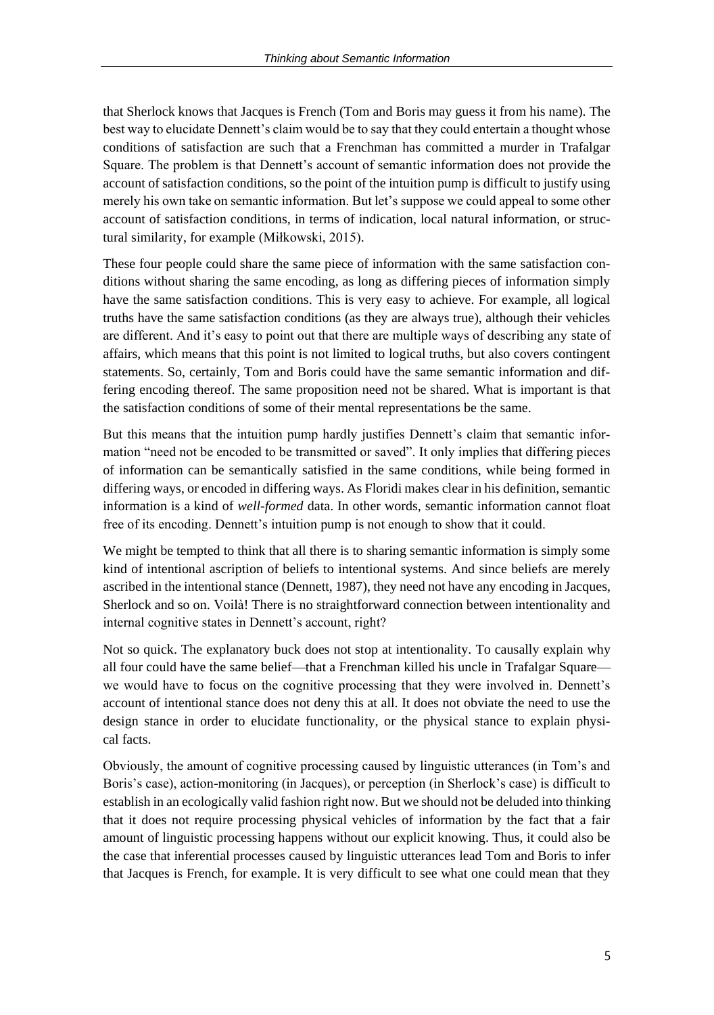that Sherlock knows that Jacques is French (Tom and Boris may guess it from his name). The best way to elucidate Dennett's claim would be to say that they could entertain a thought whose conditions of satisfaction are such that a Frenchman has committed a murder in Trafalgar Square. The problem is that Dennett's account of semantic information does not provide the account of satisfaction conditions, so the point of the intuition pump is difficult to justify using merely his own take on semantic information. But let's suppose we could appeal to some other account of satisfaction conditions, in terms of indication, local natural information, or structural similarity, for example (Miłkowski, 2015).

These four people could share the same piece of information with the same satisfaction conditions without sharing the same encoding, as long as differing pieces of information simply have the same satisfaction conditions. This is very easy to achieve. For example, all logical truths have the same satisfaction conditions (as they are always true), although their vehicles are different. And it's easy to point out that there are multiple ways of describing any state of affairs, which means that this point is not limited to logical truths, but also covers contingent statements. So, certainly, Tom and Boris could have the same semantic information and differing encoding thereof. The same proposition need not be shared. What is important is that the satisfaction conditions of some of their mental representations be the same.

But this means that the intuition pump hardly justifies Dennett's claim that semantic information "need not be encoded to be transmitted or saved". It only implies that differing pieces of information can be semantically satisfied in the same conditions, while being formed in differing ways, or encoded in differing ways. As Floridi makes clear in his definition, semantic information is a kind of *well-formed* data. In other words, semantic information cannot float free of its encoding. Dennett's intuition pump is not enough to show that it could.

We might be tempted to think that all there is to sharing semantic information is simply some kind of intentional ascription of beliefs to intentional systems. And since beliefs are merely ascribed in the intentional stance (Dennett, 1987), they need not have any encoding in Jacques, Sherlock and so on. Voilà! There is no straightforward connection between intentionality and internal cognitive states in Dennett's account, right?

Not so quick. The explanatory buck does not stop at intentionality. To causally explain why all four could have the same belief—that a Frenchman killed his uncle in Trafalgar Square we would have to focus on the cognitive processing that they were involved in. Dennett's account of intentional stance does not deny this at all. It does not obviate the need to use the design stance in order to elucidate functionality, or the physical stance to explain physical facts.

Obviously, the amount of cognitive processing caused by linguistic utterances (in Tom's and Boris's case), action-monitoring (in Jacques), or perception (in Sherlock's case) is difficult to establish in an ecologically valid fashion right now. But we should not be deluded into thinking that it does not require processing physical vehicles of information by the fact that a fair amount of linguistic processing happens without our explicit knowing. Thus, it could also be the case that inferential processes caused by linguistic utterances lead Tom and Boris to infer that Jacques is French, for example. It is very difficult to see what one could mean that they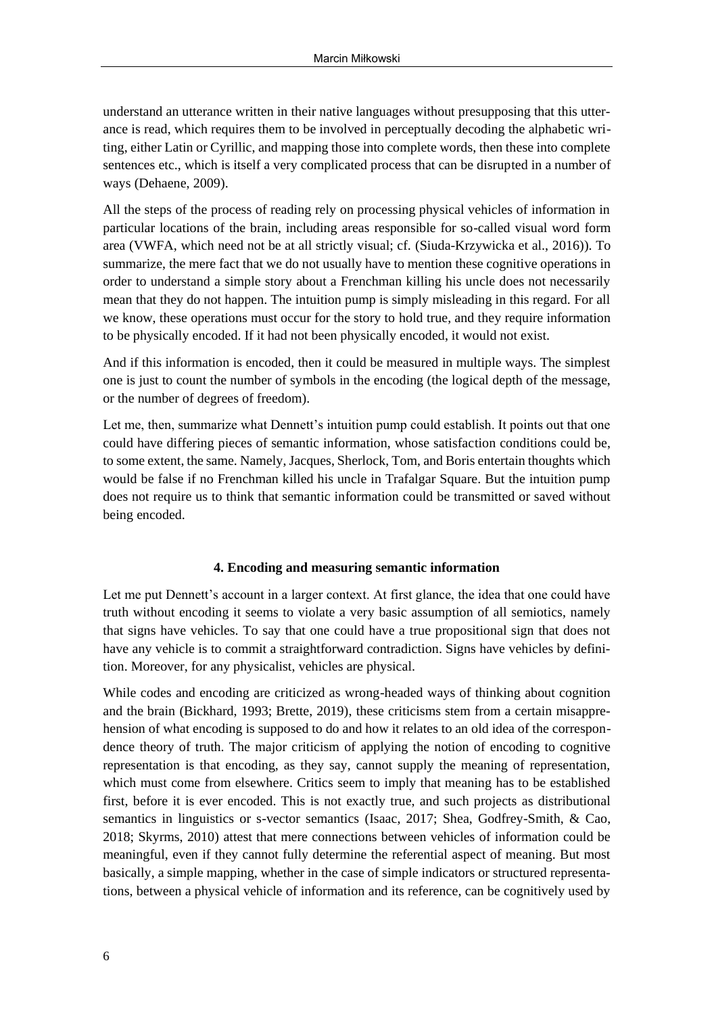understand an utterance written in their native languages without presupposing that this utterance is read, which requires them to be involved in perceptually decoding the alphabetic writing, either Latin or Cyrillic, and mapping those into complete words, then these into complete sentences etc., which is itself a very complicated process that can be disrupted in a number of ways (Dehaene, 2009).

All the steps of the process of reading rely on processing physical vehicles of information in particular locations of the brain, including areas responsible for so-called visual word form area (VWFA, which need not be at all strictly visual; cf. (Siuda-Krzywicka et al., 2016)). To summarize, the mere fact that we do not usually have to mention these cognitive operations in order to understand a simple story about a Frenchman killing his uncle does not necessarily mean that they do not happen. The intuition pump is simply misleading in this regard. For all we know, these operations must occur for the story to hold true, and they require information to be physically encoded. If it had not been physically encoded, it would not exist.

And if this information is encoded, then it could be measured in multiple ways. The simplest one is just to count the number of symbols in the encoding (the logical depth of the message, or the number of degrees of freedom).

Let me, then, summarize what Dennett's intuition pump could establish. It points out that one could have differing pieces of semantic information, whose satisfaction conditions could be, to some extent, the same. Namely, Jacques, Sherlock, Tom, and Boris entertain thoughts which would be false if no Frenchman killed his uncle in Trafalgar Square. But the intuition pump does not require us to think that semantic information could be transmitted or saved without being encoded.

### **4. Encoding and measuring semantic information**

Let me put Dennett's account in a larger context. At first glance, the idea that one could have truth without encoding it seems to violate a very basic assumption of all semiotics, namely that signs have vehicles. To say that one could have a true propositional sign that does not have any vehicle is to commit a straightforward contradiction. Signs have vehicles by definition. Moreover, for any physicalist, vehicles are physical.

While codes and encoding are criticized as wrong-headed ways of thinking about cognition and the brain (Bickhard, 1993; Brette, 2019), these criticisms stem from a certain misapprehension of what encoding is supposed to do and how it relates to an old idea of the correspondence theory of truth. The major criticism of applying the notion of encoding to cognitive representation is that encoding, as they say, cannot supply the meaning of representation, which must come from elsewhere. Critics seem to imply that meaning has to be established first, before it is ever encoded. This is not exactly true, and such projects as distributional semantics in linguistics or s-vector semantics (Isaac, 2017; Shea, Godfrey-Smith, & Cao, 2018; Skyrms, 2010) attest that mere connections between vehicles of information could be meaningful, even if they cannot fully determine the referential aspect of meaning. But most basically, a simple mapping, whether in the case of simple indicators or structured representations, between a physical vehicle of information and its reference, can be cognitively used by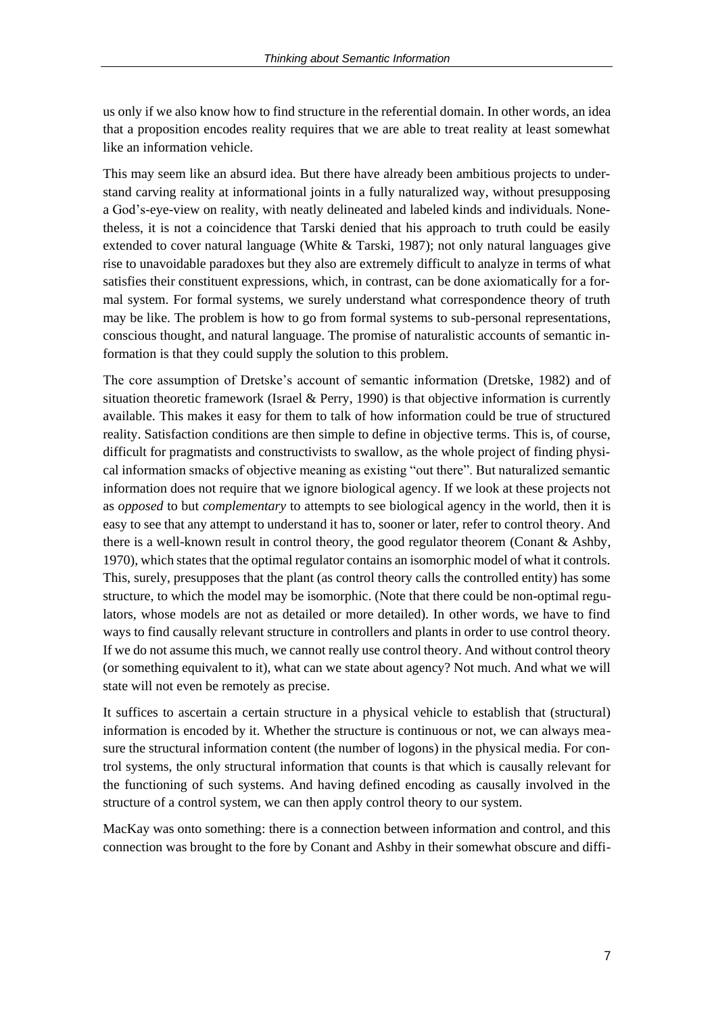us only if we also know how to find structure in the referential domain. In other words, an idea that a proposition encodes reality requires that we are able to treat reality at least somewhat like an information vehicle.

This may seem like an absurd idea. But there have already been ambitious projects to understand carving reality at informational joints in a fully naturalized way, without presupposing a God's-eye-view on reality, with neatly delineated and labeled kinds and individuals. Nonetheless, it is not a coincidence that Tarski denied that his approach to truth could be easily extended to cover natural language (White & Tarski, 1987); not only natural languages give rise to unavoidable paradoxes but they also are extremely difficult to analyze in terms of what satisfies their constituent expressions, which, in contrast, can be done axiomatically for a formal system. For formal systems, we surely understand what correspondence theory of truth may be like. The problem is how to go from formal systems to sub-personal representations, conscious thought, and natural language. The promise of naturalistic accounts of semantic information is that they could supply the solution to this problem.

The core assumption of Dretske's account of semantic information (Dretske, 1982) and of situation theoretic framework (Israel & Perry, 1990) is that objective information is currently available. This makes it easy for them to talk of how information could be true of structured reality. Satisfaction conditions are then simple to define in objective terms. This is, of course, difficult for pragmatists and constructivists to swallow, as the whole project of finding physical information smacks of objective meaning as existing "out there". But naturalized semantic information does not require that we ignore biological agency. If we look at these projects not as *opposed* to but *complementary* to attempts to see biological agency in the world, then it is easy to see that any attempt to understand it has to, sooner or later, refer to control theory. And there is a well-known result in control theory, the good regulator theorem (Conant & Ashby, 1970), which states that the optimal regulator contains an isomorphic model of what it controls. This, surely, presupposes that the plant (as control theory calls the controlled entity) has some structure, to which the model may be isomorphic. (Note that there could be non-optimal regulators, whose models are not as detailed or more detailed). In other words, we have to find ways to find causally relevant structure in controllers and plants in order to use control theory. If we do not assume this much, we cannot really use control theory. And without control theory (or something equivalent to it), what can we state about agency? Not much. And what we will state will not even be remotely as precise.

It suffices to ascertain a certain structure in a physical vehicle to establish that (structural) information is encoded by it. Whether the structure is continuous or not, we can always measure the structural information content (the number of logons) in the physical media. For control systems, the only structural information that counts is that which is causally relevant for the functioning of such systems. And having defined encoding as causally involved in the structure of a control system, we can then apply control theory to our system.

MacKay was onto something: there is a connection between information and control, and this connection was brought to the fore by Conant and Ashby in their somewhat obscure and diffi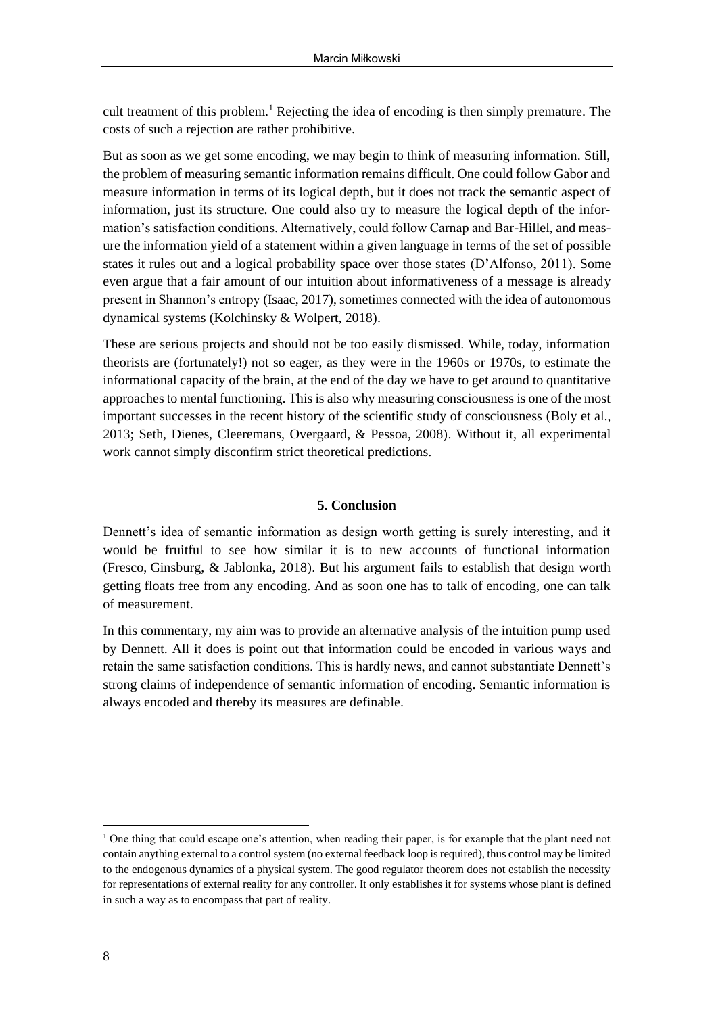cult treatment of this problem.<sup>1</sup> Rejecting the idea of encoding is then simply premature. The costs of such a rejection are rather prohibitive.

But as soon as we get some encoding, we may begin to think of measuring information. Still, the problem of measuring semantic information remains difficult. One could follow Gabor and measure information in terms of its logical depth, but it does not track the semantic aspect of information, just its structure. One could also try to measure the logical depth of the information's satisfaction conditions. Alternatively, could follow Carnap and Bar-Hillel, and measure the information yield of a statement within a given language in terms of the set of possible states it rules out and a logical probability space over those states (D'Alfonso, 2011). Some even argue that a fair amount of our intuition about informativeness of a message is already present in Shannon's entropy (Isaac, 2017), sometimes connected with the idea of autonomous dynamical systems (Kolchinsky & Wolpert, 2018).

These are serious projects and should not be too easily dismissed. While, today, information theorists are (fortunately!) not so eager, as they were in the 1960s or 1970s, to estimate the informational capacity of the brain, at the end of the day we have to get around to quantitative approaches to mental functioning. This is also why measuring consciousness is one of the most important successes in the recent history of the scientific study of consciousness (Boly et al., 2013; Seth, Dienes, Cleeremans, Overgaard, & Pessoa, 2008). Without it, all experimental work cannot simply disconfirm strict theoretical predictions.

# **5. Conclusion**

Dennett's idea of semantic information as design worth getting is surely interesting, and it would be fruitful to see how similar it is to new accounts of functional information (Fresco, Ginsburg, & Jablonka, 2018). But his argument fails to establish that design worth getting floats free from any encoding. And as soon one has to talk of encoding, one can talk of measurement.

In this commentary, my aim was to provide an alternative analysis of the intuition pump used by Dennett. All it does is point out that information could be encoded in various ways and retain the same satisfaction conditions. This is hardly news, and cannot substantiate Dennett's strong claims of independence of semantic information of encoding. Semantic information is always encoded and thereby its measures are definable.

<sup>&</sup>lt;sup>1</sup> One thing that could escape one's attention, when reading their paper, is for example that the plant need not contain anything external to a control system (no external feedback loop is required), thus control may be limited to the endogenous dynamics of a physical system. The good regulator theorem does not establish the necessity for representations of external reality for any controller. It only establishes it for systems whose plant is defined in such a way as to encompass that part of reality.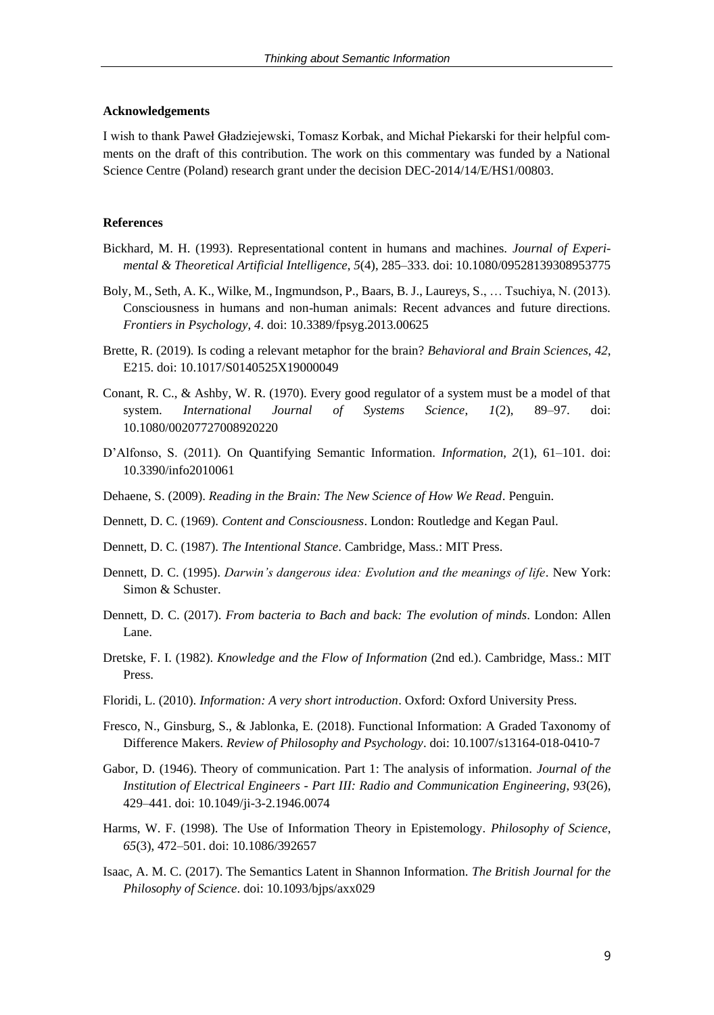### **Acknowledgements**

I wish to thank Paweł Gładziejewski, Tomasz Korbak, and Michał Piekarski for their helpful comments on the draft of this contribution. The work on this commentary was funded by a National Science Centre (Poland) research grant under the decision DEC-2014/14/E/HS1/00803.

### **References**

- Bickhard, M. H. (1993). Representational content in humans and machines. *Journal of Experimental & Theoretical Artificial Intelligence*, *5*(4), 285–333. doi: 10.1080/09528139308953775
- Boly, M., Seth, A. K., Wilke, M., Ingmundson, P., Baars, B. J., Laureys, S., … Tsuchiya, N. (2013). Consciousness in humans and non-human animals: Recent advances and future directions. *Frontiers in Psychology*, *4*. doi: 10.3389/fpsyg.2013.00625
- Brette, R. (2019). Is coding a relevant metaphor for the brain? *Behavioral and Brain Sciences*, *42*, E215. doi: 10.1017/S0140525X19000049
- Conant, R. C., & Ashby, W. R. (1970). Every good regulator of a system must be a model of that system. *International Journal of Systems Science*, *1*(2), 89–97. doi: 10.1080/00207727008920220
- D'Alfonso, S. (2011). On Quantifying Semantic Information. *Information*, *2*(1), 61–101. doi: 10.3390/info2010061
- Dehaene, S. (2009). *Reading in the Brain: The New Science of How We Read*. Penguin.
- Dennett, D. C. (1969). *Content and Consciousness*. London: Routledge and Kegan Paul.
- Dennett, D. C. (1987). *The Intentional Stance*. Cambridge, Mass.: MIT Press.
- Dennett, D. C. (1995). *Darwin's dangerous idea: Evolution and the meanings of life*. New York: Simon & Schuster.
- Dennett, D. C. (2017). *From bacteria to Bach and back: The evolution of minds*. London: Allen Lane.
- Dretske, F. I. (1982). *Knowledge and the Flow of Information* (2nd ed.). Cambridge, Mass.: MIT Press.
- Floridi, L. (2010). *Information: A very short introduction*. Oxford: Oxford University Press.
- Fresco, N., Ginsburg, S., & Jablonka, E. (2018). Functional Information: A Graded Taxonomy of Difference Makers. *Review of Philosophy and Psychology*. doi: 10.1007/s13164-018-0410-7
- Gabor, D. (1946). Theory of communication. Part 1: The analysis of information. *Journal of the Institution of Electrical Engineers - Part III: Radio and Communication Engineering*, *93*(26), 429–441. doi: 10.1049/ji-3-2.1946.0074
- Harms, W. F. (1998). The Use of Information Theory in Epistemology. *Philosophy of Science*, *65*(3), 472–501. doi: 10.1086/392657
- Isaac, A. M. C. (2017). The Semantics Latent in Shannon Information. *The British Journal for the Philosophy of Science*. doi: 10.1093/bjps/axx029